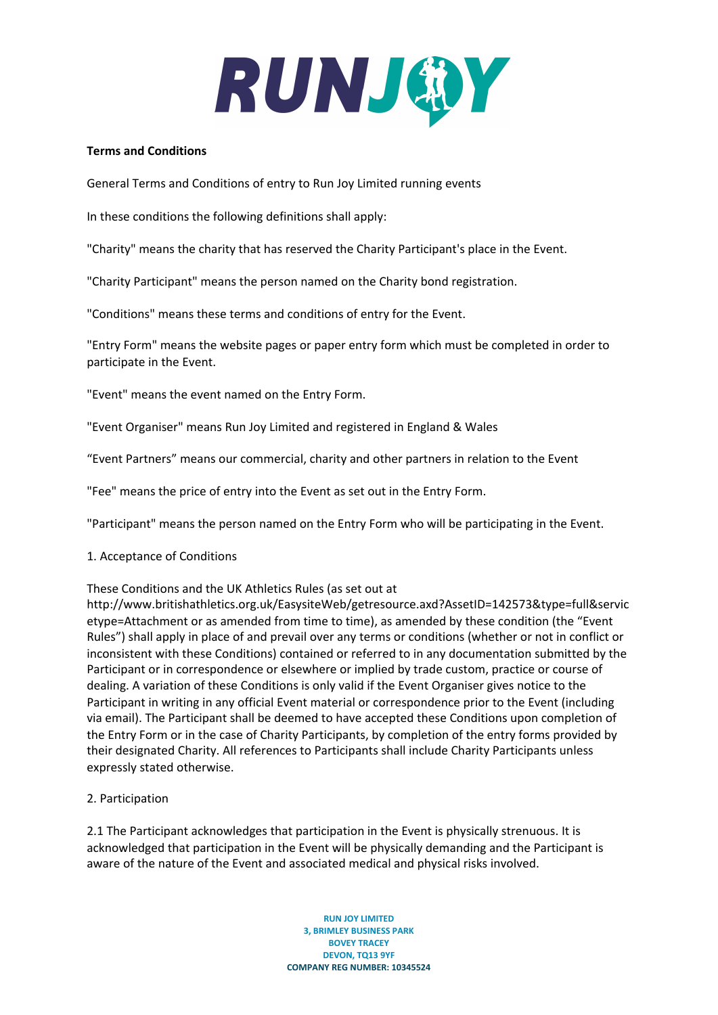

### **Terms and Conditions**

General Terms and Conditions of entry to Run Joy Limited running events

In these conditions the following definitions shall apply:

"Charity" means the charity that has reserved the Charity Participant's place in the Event.

"Charity Participant" means the person named on the Charity bond registration.

"Conditions" means these terms and conditions of entry for the Event.

"Entry Form" means the website pages or paper entry form which must be completed in order to participate in the Event.

"Event" means the event named on the Entry Form.

"Event Organiser" means Run Joy Limited and registered in England & Wales

"Event Partners" means our commercial, charity and other partners in relation to the Event

"Fee" means the price of entry into the Event as set out in the Entry Form.

"Participant" means the person named on the Entry Form who will be participating in the Event.

### 1. Acceptance of Conditions

These Conditions and the UK Athletics Rules (as set out at

http://www.britishathletics.org.uk/EasysiteWeb/getresource.axd?AssetID=142573&type=full&servic etype=Attachment or as amended from time to time), as amended by these condition (the "Event Rules") shall apply in place of and prevail over any terms or conditions (whether or not in conflict or inconsistent with these Conditions) contained or referred to in any documentation submitted by the Participant or in correspondence or elsewhere or implied by trade custom, practice or course of dealing. A variation of these Conditions is only valid if the Event Organiser gives notice to the Participant in writing in any official Event material or correspondence prior to the Event (including via email). The Participant shall be deemed to have accepted these Conditions upon completion of the Entry Form or in the case of Charity Participants, by completion of the entry forms provided by their designated Charity. All references to Participants shall include Charity Participants unless expressly stated otherwise.

## 2. Participation

2.1 The Participant acknowledges that participation in the Event is physically strenuous. It is acknowledged that participation in the Event will be physically demanding and the Participant is aware of the nature of the Event and associated medical and physical risks involved.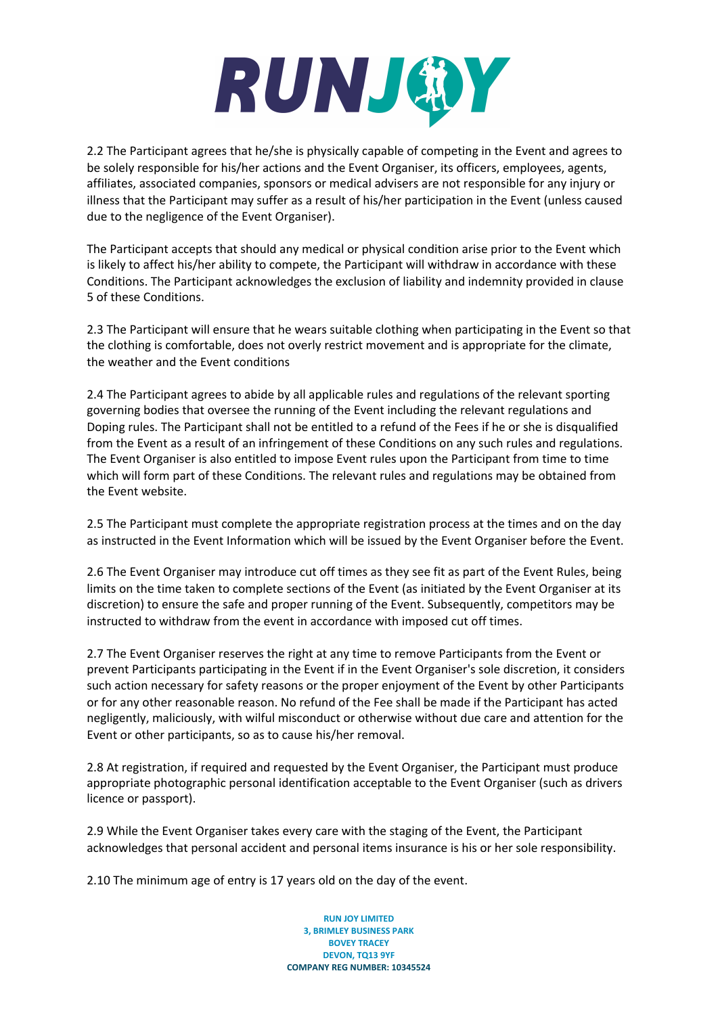

2.2 The Participant agrees that he/she is physically capable of competing in the Event and agrees to be solely responsible for his/her actions and the Event Organiser, its officers, employees, agents, affiliates, associated companies, sponsors or medical advisers are not responsible for any injury or illness that the Participant may suffer as a result of his/her participation in the Event (unless caused due to the negligence of the Event Organiser).

The Participant accepts that should any medical or physical condition arise prior to the Event which is likely to affect his/her ability to compete, the Participant will withdraw in accordance with these Conditions. The Participant acknowledges the exclusion of liability and indemnity provided in clause 5 of these Conditions.

2.3 The Participant will ensure that he wears suitable clothing when participating in the Event so that the clothing is comfortable, does not overly restrict movement and is appropriate for the climate, the weather and the Event conditions

2.4 The Participant agrees to abide by all applicable rules and regulations of the relevant sporting governing bodies that oversee the running of the Event including the relevant regulations and Doping rules. The Participant shall not be entitled to a refund of the Fees if he or she is disqualified from the Event as a result of an infringement of these Conditions on any such rules and regulations. The Event Organiser is also entitled to impose Event rules upon the Participant from time to time which will form part of these Conditions. The relevant rules and regulations may be obtained from the Event website.

2.5 The Participant must complete the appropriate registration process at the times and on the day as instructed in the Event Information which will be issued by the Event Organiser before the Event.

2.6 The Event Organiser may introduce cut off times as they see fit as part of the Event Rules, being limits on the time taken to complete sections of the Event (as initiated by the Event Organiser at its discretion) to ensure the safe and proper running of the Event. Subsequently, competitors may be instructed to withdraw from the event in accordance with imposed cut off times.

2.7 The Event Organiser reserves the right at any time to remove Participants from the Event or prevent Participants participating in the Event if in the Event Organiser's sole discretion, it considers such action necessary for safety reasons or the proper enjoyment of the Event by other Participants or for any other reasonable reason. No refund of the Fee shall be made if the Participant has acted negligently, maliciously, with wilful misconduct or otherwise without due care and attention for the Event or other participants, so as to cause his/her removal.

2.8 At registration, if required and requested by the Event Organiser, the Participant must produce appropriate photographic personal identification acceptable to the Event Organiser (such as drivers licence or passport).

2.9 While the Event Organiser takes every care with the staging of the Event, the Participant acknowledges that personal accident and personal items insurance is his or her sole responsibility.

2.10 The minimum age of entry is 17 years old on the day of the event.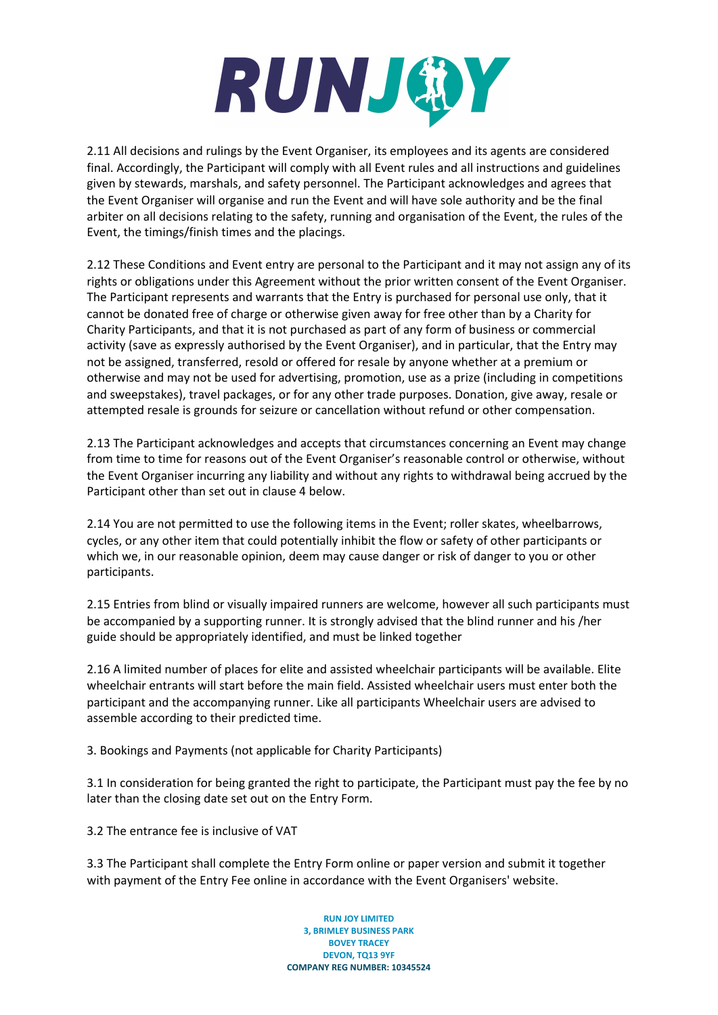

2.11 All decisions and rulings by the Event Organiser, its employees and its agents are considered final. Accordingly, the Participant will comply with all Event rules and all instructions and guidelines given by stewards, marshals, and safety personnel. The Participant acknowledges and agrees that the Event Organiser will organise and run the Event and will have sole authority and be the final arbiter on all decisions relating to the safety, running and organisation of the Event, the rules of the Event, the timings/finish times and the placings.

2.12 These Conditions and Event entry are personal to the Participant and it may not assign any of its rights or obligations under this Agreement without the prior written consent of the Event Organiser. The Participant represents and warrants that the Entry is purchased for personal use only, that it cannot be donated free of charge or otherwise given away for free other than by a Charity for Charity Participants, and that it is not purchased as part of any form of business or commercial activity (save as expressly authorised by the Event Organiser), and in particular, that the Entry may not be assigned, transferred, resold or offered for resale by anyone whether at a premium or otherwise and may not be used for advertising, promotion, use as a prize (including in competitions and sweepstakes), travel packages, or for any other trade purposes. Donation, give away, resale or attempted resale is grounds for seizure or cancellation without refund or other compensation.

2.13 The Participant acknowledges and accepts that circumstances concerning an Event may change from time to time for reasons out of the Event Organiser's reasonable control or otherwise, without the Event Organiser incurring any liability and without any rights to withdrawal being accrued by the Participant other than set out in clause 4 below.

2.14 You are not permitted to use the following items in the Event; roller skates, wheelbarrows, cycles, or any other item that could potentially inhibit the flow or safety of other participants or which we, in our reasonable opinion, deem may cause danger or risk of danger to you or other participants.

2.15 Entries from blind or visually impaired runners are welcome, however all such participants must be accompanied by a supporting runner. It is strongly advised that the blind runner and his /her guide should be appropriately identified, and must be linked together

2.16 A limited number of places for elite and assisted wheelchair participants will be available. Elite wheelchair entrants will start before the main field. Assisted wheelchair users must enter both the participant and the accompanying runner. Like all participants Wheelchair users are advised to assemble according to their predicted time.

3. Bookings and Payments (not applicable for Charity Participants)

3.1 In consideration for being granted the right to participate, the Participant must pay the fee by no later than the closing date set out on the Entry Form.

3.2 The entrance fee is inclusive of VAT

3.3 The Participant shall complete the Entry Form online or paper version and submit it together with payment of the Entry Fee online in accordance with the Event Organisers' website.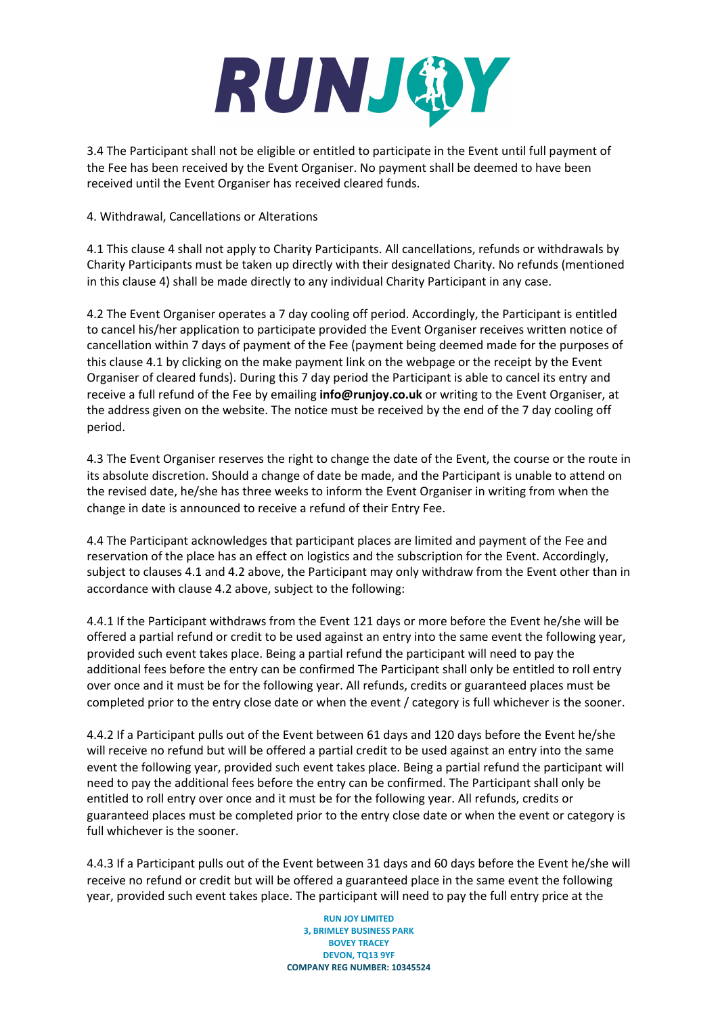## RUNJOY

3.4 The Participant shall not be eligible or entitled to participate in the Event until full payment of the Fee has been received by the Event Organiser. No payment shall be deemed to have been received until the Event Organiser has received cleared funds.

### 4. Withdrawal, Cancellations or Alterations

4.1 This clause 4 shall not apply to Charity Participants. All cancellations, refunds or withdrawals by Charity Participants must be taken up directly with their designated Charity. No refunds (mentioned in this clause 4) shall be made directly to any individual Charity Participant in any case.

4.2 The Event Organiser operates a 7 day cooling off period. Accordingly, the Participant is entitled to cancel his/her application to participate provided the Event Organiser receives written notice of cancellation within 7 days of payment of the Fee (payment being deemed made for the purposes of this clause 4.1 by clicking on the make payment link on the webpage or the receipt by the Event Organiser of cleared funds). During this 7 day period the Participant is able to cancel its entry and receive a full refund of the Fee by emailing **info@runjoy.co.uk** or writing to the Event Organiser, at the address given on the website. The notice must be received by the end of the 7 day cooling off period.

4.3 The Event Organiser reserves the right to change the date of the Event, the course or the route in its absolute discretion. Should a change of date be made, and the Participant is unable to attend on the revised date, he/she has three weeks to inform the Event Organiser in writing from when the change in date is announced to receive a refund of their Entry Fee.

4.4 The Participant acknowledges that participant places are limited and payment of the Fee and reservation of the place has an effect on logistics and the subscription for the Event. Accordingly, subject to clauses 4.1 and 4.2 above, the Participant may only withdraw from the Event other than in accordance with clause 4.2 above, subject to the following:

4.4.1 If the Participant withdraws from the Event 121 days or more before the Event he/she will be offered a partial refund or credit to be used against an entry into the same event the following year, provided such event takes place. Being a partial refund the participant will need to pay the additional fees before the entry can be confirmed The Participant shall only be entitled to roll entry over once and it must be for the following year. All refunds, credits or guaranteed places must be completed prior to the entry close date or when the event / category is full whichever is the sooner.

4.4.2 If a Participant pulls out of the Event between 61 days and 120 days before the Event he/she will receive no refund but will be offered a partial credit to be used against an entry into the same event the following year, provided such event takes place. Being a partial refund the participant will need to pay the additional fees before the entry can be confirmed. The Participant shall only be entitled to roll entry over once and it must be for the following year. All refunds, credits or guaranteed places must be completed prior to the entry close date or when the event or category is full whichever is the sooner.

4.4.3 If a Participant pulls out of the Event between 31 days and 60 days before the Event he/she will receive no refund or credit but will be offered a guaranteed place in the same event the following year, provided such event takes place. The participant will need to pay the full entry price at the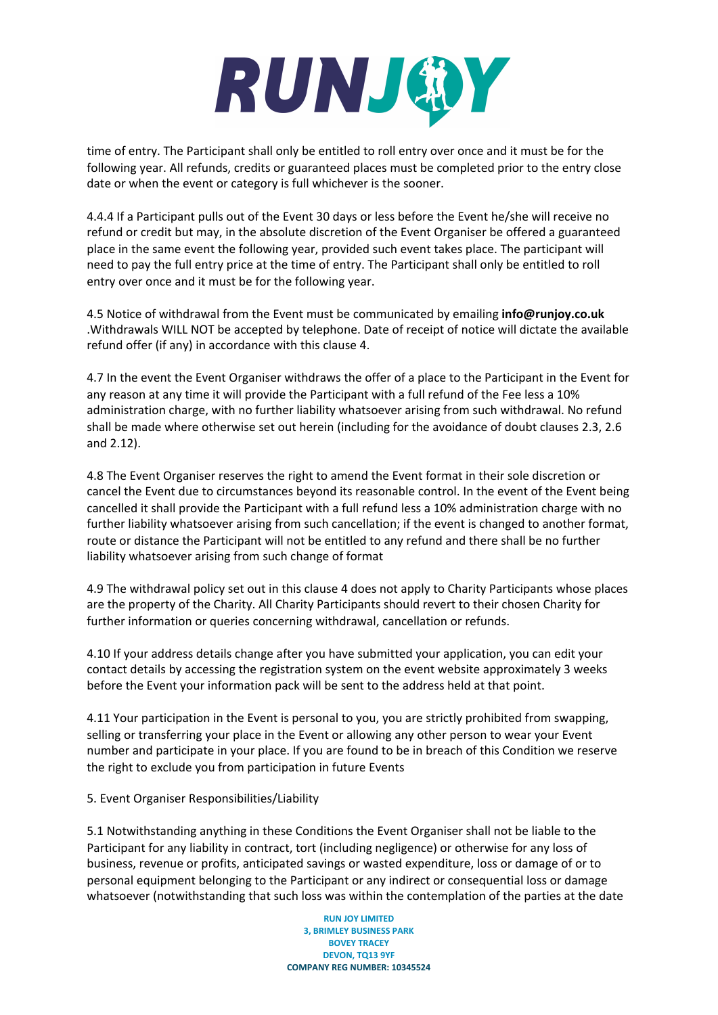# RUNJOY

time of entry. The Participant shall only be entitled to roll entry over once and it must be for the following year. All refunds, credits or guaranteed places must be completed prior to the entry close date or when the event or category is full whichever is the sooner.

4.4.4 If a Participant pulls out of the Event 30 days or less before the Event he/she will receive no refund or credit but may, in the absolute discretion of the Event Organiser be offered a guaranteed place in the same event the following year, provided such event takes place. The participant will need to pay the full entry price at the time of entry. The Participant shall only be entitled to roll entry over once and it must be for the following year.

4.5 Notice of withdrawal from the Event must be communicated by emailing **info@runjoy.co.uk** .Withdrawals WILL NOT be accepted by telephone. Date of receipt of notice will dictate the available refund offer (if any) in accordance with this clause 4.

4.7 In the event the Event Organiser withdraws the offer of a place to the Participant in the Event for any reason at any time it will provide the Participant with a full refund of the Fee less a 10% administration charge, with no further liability whatsoever arising from such withdrawal. No refund shall be made where otherwise set out herein (including for the avoidance of doubt clauses 2.3, 2.6 and 2.12).

4.8 The Event Organiser reserves the right to amend the Event format in their sole discretion or cancel the Event due to circumstances beyond its reasonable control. In the event of the Event being cancelled it shall provide the Participant with a full refund less a 10% administration charge with no further liability whatsoever arising from such cancellation; if the event is changed to another format, route or distance the Participant will not be entitled to any refund and there shall be no further liability whatsoever arising from such change of format

4.9 The withdrawal policy set out in this clause 4 does not apply to Charity Participants whose places are the property of the Charity. All Charity Participants should revert to their chosen Charity for further information or queries concerning withdrawal, cancellation or refunds.

4.10 If your address details change after you have submitted your application, you can edit your contact details by accessing the registration system on the event website approximately 3 weeks before the Event your information pack will be sent to the address held at that point.

4.11 Your participation in the Event is personal to you, you are strictly prohibited from swapping, selling or transferring your place in the Event or allowing any other person to wear your Event number and participate in your place. If you are found to be in breach of this Condition we reserve the right to exclude you from participation in future Events

## 5. Event Organiser Responsibilities/Liability

5.1 Notwithstanding anything in these Conditions the Event Organiser shall not be liable to the Participant for any liability in contract, tort (including negligence) or otherwise for any loss of business, revenue or profits, anticipated savings or wasted expenditure, loss or damage of or to personal equipment belonging to the Participant or any indirect or consequential loss or damage whatsoever (notwithstanding that such loss was within the contemplation of the parties at the date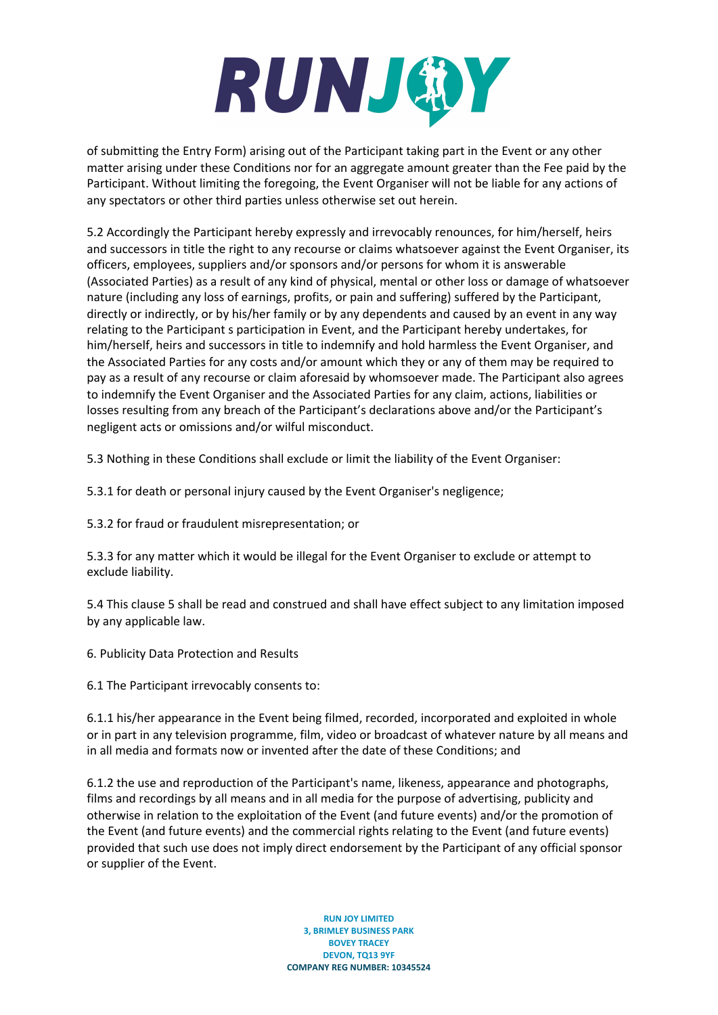# RUNJOY

of submitting the Entry Form) arising out of the Participant taking part in the Event or any other matter arising under these Conditions nor for an aggregate amount greater than the Fee paid by the Participant. Without limiting the foregoing, the Event Organiser will not be liable for any actions of any spectators or other third parties unless otherwise set out herein.

5.2 Accordingly the Participant hereby expressly and irrevocably renounces, for him/herself, heirs and successors in title the right to any recourse or claims whatsoever against the Event Organiser, its officers, employees, suppliers and/or sponsors and/or persons for whom it is answerable (Associated Parties) as a result of any kind of physical, mental or other loss or damage of whatsoever nature (including any loss of earnings, profits, or pain and suffering) suffered by the Participant, directly or indirectly, or by his/her family or by any dependents and caused by an event in any way relating to the Participant s participation in Event, and the Participant hereby undertakes, for him/herself, heirs and successors in title to indemnify and hold harmless the Event Organiser, and the Associated Parties for any costs and/or amount which they or any of them may be required to pay as a result of any recourse or claim aforesaid by whomsoever made. The Participant also agrees to indemnify the Event Organiser and the Associated Parties for any claim, actions, liabilities or losses resulting from any breach of the Participant's declarations above and/or the Participant's negligent acts or omissions and/or wilful misconduct.

5.3 Nothing in these Conditions shall exclude or limit the liability of the Event Organiser:

5.3.1 for death or personal injury caused by the Event Organiser's negligence;

5.3.2 for fraud or fraudulent misrepresentation; or

5.3.3 for any matter which it would be illegal for the Event Organiser to exclude or attempt to exclude liability.

5.4 This clause 5 shall be read and construed and shall have effect subject to any limitation imposed by any applicable law.

6. Publicity Data Protection and Results

6.1 The Participant irrevocably consents to:

6.1.1 his/her appearance in the Event being filmed, recorded, incorporated and exploited in whole or in part in any television programme, film, video or broadcast of whatever nature by all means and in all media and formats now or invented after the date of these Conditions; and

6.1.2 the use and reproduction of the Participant's name, likeness, appearance and photographs, films and recordings by all means and in all media for the purpose of advertising, publicity and otherwise in relation to the exploitation of the Event (and future events) and/or the promotion of the Event (and future events) and the commercial rights relating to the Event (and future events) provided that such use does not imply direct endorsement by the Participant of any official sponsor or supplier of the Event.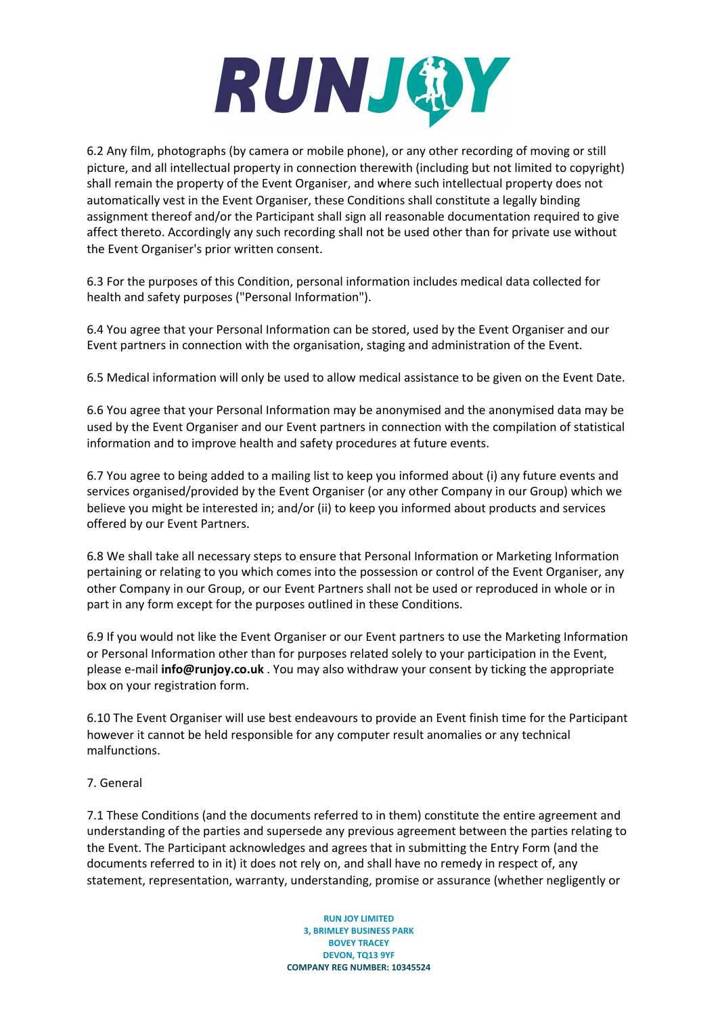

6.2 Any film, photographs (by camera or mobile phone), or any other recording of moving or still picture, and all intellectual property in connection therewith (including but not limited to copyright) shall remain the property of the Event Organiser, and where such intellectual property does not automatically vest in the Event Organiser, these Conditions shall constitute a legally binding assignment thereof and/or the Participant shall sign all reasonable documentation required to give affect thereto. Accordingly any such recording shall not be used other than for private use without the Event Organiser's prior written consent.

6.3 For the purposes of this Condition, personal information includes medical data collected for health and safety purposes ("Personal Information").

6.4 You agree that your Personal Information can be stored, used by the Event Organiser and our Event partners in connection with the organisation, staging and administration of the Event.

6.5 Medical information will only be used to allow medical assistance to be given on the Event Date.

6.6 You agree that your Personal Information may be anonymised and the anonymised data may be used by the Event Organiser and our Event partners in connection with the compilation of statistical information and to improve health and safety procedures at future events.

6.7 You agree to being added to a mailing list to keep you informed about (i) any future events and services organised/provided by the Event Organiser (or any other Company in our Group) which we believe you might be interested in; and/or (ii) to keep you informed about products and services offered by our Event Partners.

6.8 We shall take all necessary steps to ensure that Personal Information or Marketing Information pertaining or relating to you which comes into the possession or control of the Event Organiser, any other Company in our Group, or our Event Partners shall not be used or reproduced in whole or in part in any form except for the purposes outlined in these Conditions.

6.9 If you would not like the Event Organiser or our Event partners to use the Marketing Information or Personal Information other than for purposes related solely to your participation in the Event, please e-mail **info@runjoy.co.uk** . You may also withdraw your consent by ticking the appropriate box on your registration form.

6.10 The Event Organiser will use best endeavours to provide an Event finish time for the Participant however it cannot be held responsible for any computer result anomalies or any technical malfunctions.

### 7. General

7.1 These Conditions (and the documents referred to in them) constitute the entire agreement and understanding of the parties and supersede any previous agreement between the parties relating to the Event. The Participant acknowledges and agrees that in submitting the Entry Form (and the documents referred to in it) it does not rely on, and shall have no remedy in respect of, any statement, representation, warranty, understanding, promise or assurance (whether negligently or